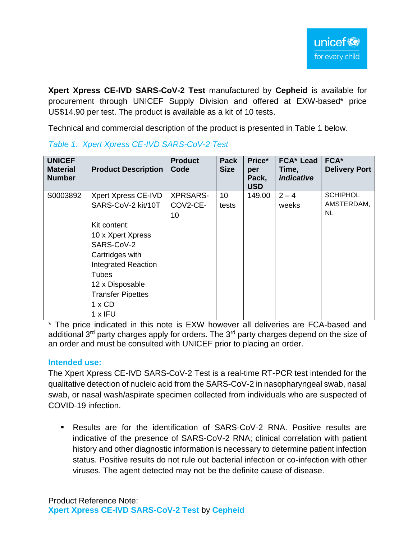**Xpert Xpress CE-IVD SARS-CoV-2 Test** manufactured by **Cepheid** is available for procurement through UNICEF Supply Division and offered at EXW-based\* price US\$14.90 per test. The product is available as a kit of 10 tests.

Technical and commercial description of the product is presented in Table 1 below.

| <b>UNICEF</b><br><b>Material</b><br><b>Number</b> | <b>Product Description</b>                                                                                                                                                                                                        | <b>Product</b><br>Code            | <b>Pack</b><br><b>Size</b> | Price*<br>per<br>Pack,<br><b>USD</b> | FCA* Lead<br>Time,<br><i>indicative</i> | FCA*<br><b>Delivery Port</b>               |
|---------------------------------------------------|-----------------------------------------------------------------------------------------------------------------------------------------------------------------------------------------------------------------------------------|-----------------------------------|----------------------------|--------------------------------------|-----------------------------------------|--------------------------------------------|
| S0003892                                          | Xpert Xpress CE-IVD<br>SARS-CoV-2 kit/10T<br>Kit content:<br>10 x Xpert Xpress<br>SARS-CoV-2<br>Cartridges with<br><b>Integrated Reaction</b><br>Tubes<br>12 x Disposable<br><b>Transfer Pipettes</b><br>$1 \times CD$<br>1 x IFU | <b>XPRSARS-</b><br>COV2-CE-<br>10 | 10<br>tests                | 149.00                               | $2 - 4$<br>weeks                        | <b>SCHIPHOL</b><br>AMSTERDAM,<br><b>NL</b> |

#### *Table 1: Xpert Xpress CE-IVD SARS-CoV-2 Test*

\* The price indicated in this note is EXW however all deliveries are FCA-based and additional 3<sup>rd</sup> party charges apply for orders. The 3<sup>rd</sup> party charges depend on the size of an order and must be consulted with UNICEF prior to placing an order.

### **Intended use:**

The Xpert Xpress CE-IVD SARS-CoV-2 Test is a real-time RT-PCR test intended for the qualitative detection of nucleic acid from the SARS-CoV-2 in nasopharyngeal swab, nasal swab, or nasal wash/aspirate specimen collected from individuals who are suspected of COVID-19 infection.

▪ Results are for the identification of SARS-CoV-2 RNA. Positive results are indicative of the presence of SARS-CoV-2 RNA; clinical correlation with patient history and other diagnostic information is necessary to determine patient infection status. Positive results do not rule out bacterial infection or co-infection with other viruses. The agent detected may not be the definite cause of disease.